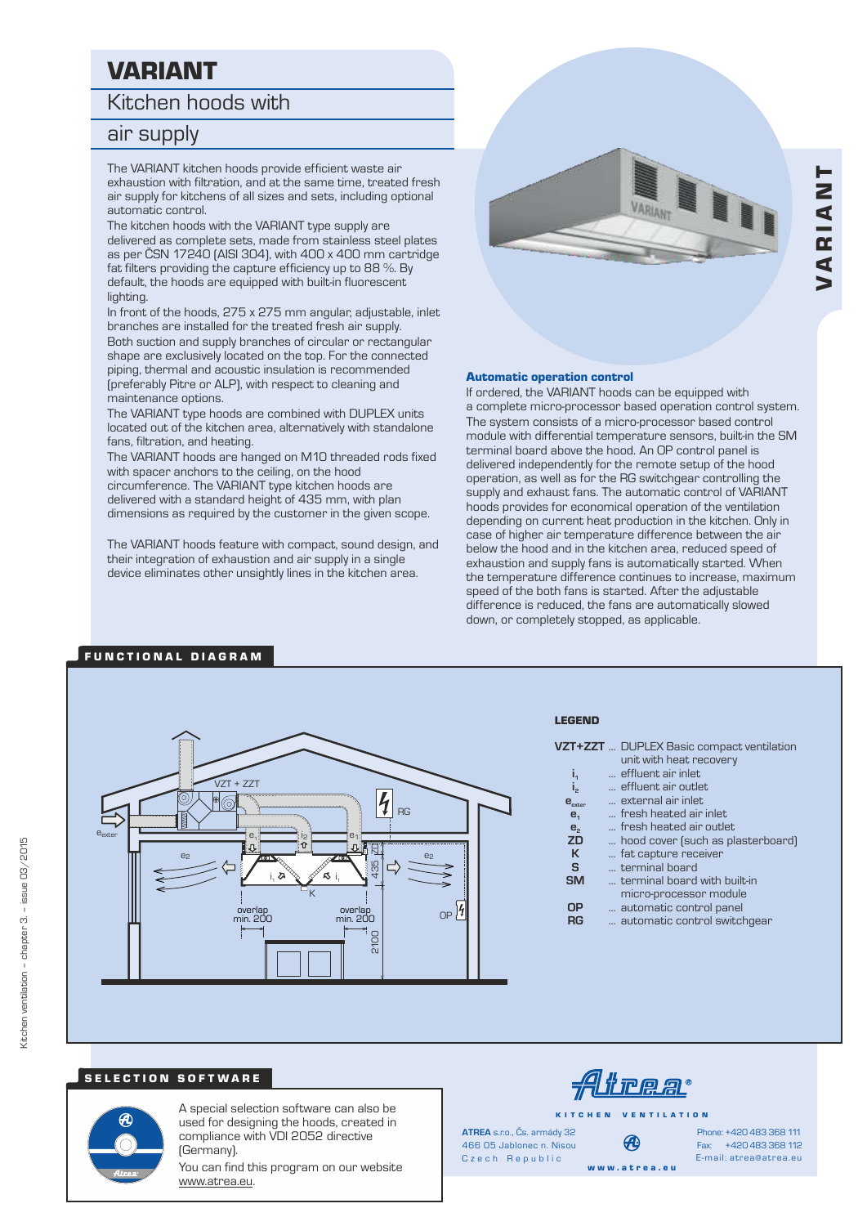# VARIANT

## Kitchen hoods with

# air supply

The VARIANT kitchen hoods provide efficient waste air exhaustion with filtration, and at the same time, treated fresh air supply for kitchens of all sizes and sets, including optional automatic control.

The kitchen hoods with the VARIANT type supply are delivered as complete sets, made from stainless steel plates as per ČSN 17240 (AISI 304), with 400 x 400 mm cartridge fat filters providing the capture efficiency up to 88 %. By default, the hoods are equipped with built-in fluorescent lighting.

In front of the hoods, 275 x 275 mm angular, adjustable, inlet branches are installed for the treated fresh air supply.

Both suction and supply branches of circular or rectangular shape are exclusively located on the top. For the connected piping, thermal and acoustic insulation is recommended (preferably Pitre or ALP), with respect to cleaning and maintenance options.

The VARIANT type hoods are combined with DUPLEX units located out of the kitchen area, alternatively with standalone fans, filtration, and heating.

The VARIANT hoods are hanged on M10 threaded rods fixed with spacer anchors to the ceiling, on the hood

circumference. The VARIANT type kitchen hoods are delivered with a standard height of 435 mm, with plan dimensions as required by the customer in the given scope.

The VARIANT hoods feature with compact, sound design, and their integration of exhaustion and air supply in a single device eliminates other unsightly lines in the kitchen area.



#### Automatic operation control

If ordered, the VARIANT hoods can be equipped with a complete micro-processor based operation control system. The system consists of a micro-processor based control module with differential temperature sensors, built-in the SM terminal board above the hood. An OP control panel is delivered independently for the remote setup of the hood operation, as well as for the RG switchgear controlling the supply and exhaust fans. The automatic control of VARIANT hoods provides for economical operation of the ventilation depending on current heat production in the kitchen. Only in case of higher air temperature difference between the air below the hood and in the kitchen area, reduced speed of exhaustion and supply fans is automatically started. When the temperature difference continues to increase, maximum speed of the both fans is started. After the adjustable difference is reduced, the fans are automatically slowed down, or completely stopped, as applicable.

#### $VZT + ZZ$  $\overline{\mathcal{H}}$  $\bigcirc$ D<sub>C</sub> eexter e<sup>1</sup> e, i<sub>2</sub> e1 2100 435 ZD  $e_2$   $\overline{a_2}$   $\overline{a_3}$   $\overline{a_4}$   $\overline{a_2}$   $\overline{a_3}$   $\overline{a_4}$   $\overline{a_2}$   $\overline{a_3}$   $\overline{a_4}$   $\overline{a_2}$ S ้ธ i, i, K  $OP$ <sup>14</sup> overla overlap min. 200 min. 200 2100

#### LEGEND

| VZT+ZZT  DUPLEX Basic compact ventilation |
|-------------------------------------------|
| unit with heat recovery                   |
| a fifteen and a balance                   |

- **i**<sub>1</sub> ... effluent air inlet<br>**i**<sub>2</sub> ... effluent air outle
- $\mathbf{i}_2$  .... effluent air outlet<br>**e** .... **2** ... external air inlet
- **e** ... external air inlet **exter e**<sub>1</sub> ... fresh heated air inlet
	-
- **e**<sub>2</sub> ... fresh heated air outlet<br>**ZD** ... hood cover (such as pl
- **ZD** ... hood cover (such as plasterboard)<br>**K** ... fat capture receiver
- **K** ... fat capture receiver<br>**S** ... terminal board
	- **S** ... terminal board
- **SM** ... terminal board with built-in
	- micro-processor module
- **OP** ... automatic control panel<br>**RG** ... automatic control switch
	- **RG** ... automatic control switchgear

### SELECTION SOFTWARE

FUNCTIONAL DIAGRAM



A special selection software can also be used for designing the hoods, created in compliance with VDI 2052 directive (Germany).

You can find this program on our website www.atrea.eu.

trear

K I T C H E N V E N T I L A T I O N

Czech Republic **ATREA** s.r.o., Čs. armády 32 466 05 Jablonec n. Nisou

Ð w w w . a t r e a . e u

Fax: +420 483 368 112 Phone: +420 483 368 111 E-mail: atrea@atrea.eu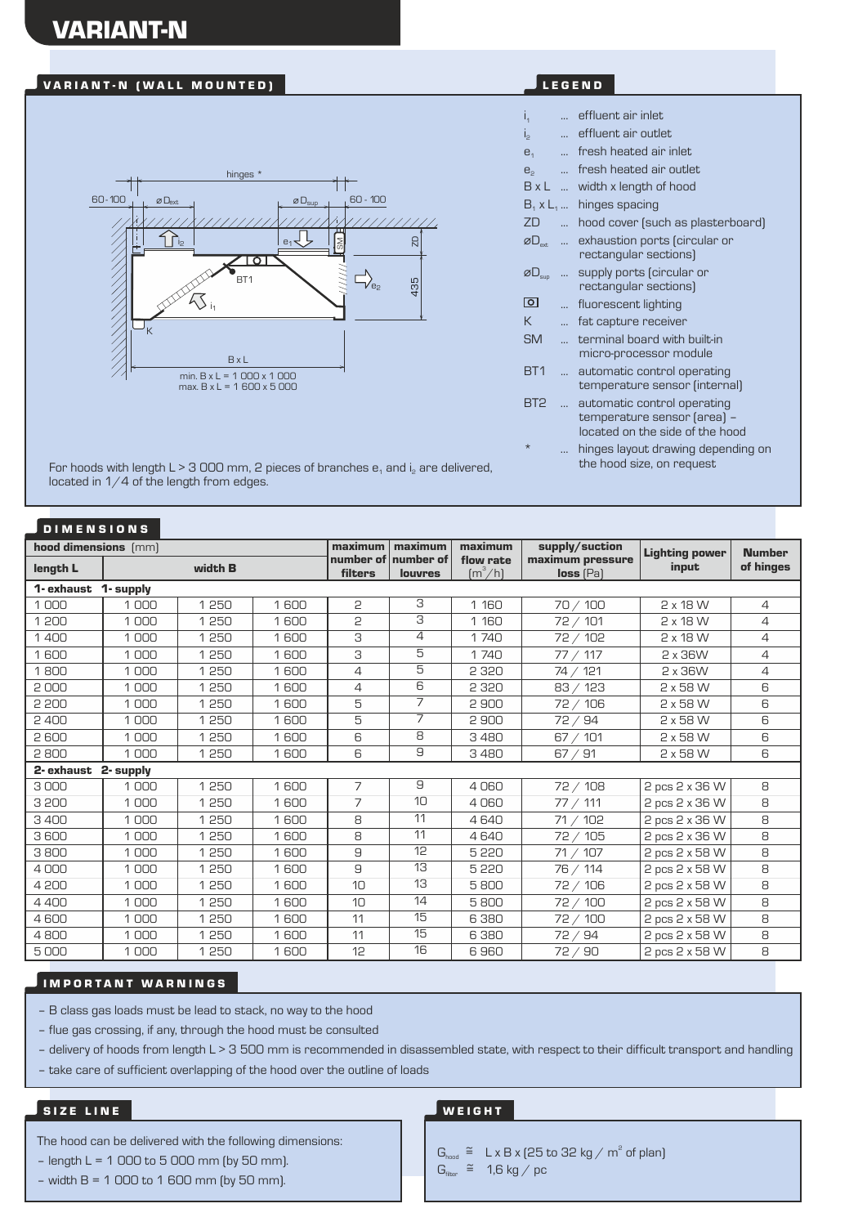# VARIANT-N

## VARIANT-N (WALL MOUNTED) NARIANT-N (WALL MOUNTED)



For hoods with length L > 3 000 mm, 2 pieces of branches  $e_1$  and  $i_2$  are delivered, located in  $1/4$  of the length from edges.

## D I M E N S I O N S

| hood dimensions [mm]    |           |         |      | maximum              | maximum              | maximum                                   | supply/suction                  | <b>Lighting power</b> | <b>Number</b> |
|-------------------------|-----------|---------|------|----------------------|----------------------|-------------------------------------------|---------------------------------|-----------------------|---------------|
| length L                |           | width B |      | number of<br>filters | number of<br>louvres | flow rate<br>$\left[\frac{m^3}{h}\right]$ | maximum pressure<br>$loss$ (Pa) | input                 | of hinges     |
| 1- exhaust<br>1- supply |           |         |      |                      |                      |                                           |                                 |                       |               |
| 1000                    | 1000      | 1250    | 1600 | 2                    | З                    | 1 1 6 0                                   | 70 / 100                        | 2 x 18 W              | 4             |
| 1 200                   | 1000      | 1250    | 1600 | 5                    | 3                    | 1 1 6 0                                   | 72 / 101                        | $2 \times 18$ W       | 4             |
| 1400                    | 1000      | 1250    | 1600 | 3                    | 4                    | 1740                                      | 72 / 102                        | $2 \times 18$ W       | 4             |
| 1600                    | 1000      | 1250    | 1600 | З                    | 5                    | 1740                                      | 77/117                          | 2 x 36W               | 4             |
| 1800                    | 1000      | 1250    | 1600 | 4                    | 5                    | 2 3 2 0                                   | 74 / 121                        | 2 x 36W               | 4             |
| 2000                    | 1000      | 1 250   | 1600 | 4                    | 6                    | 2 3 2 0                                   | 83 / 123                        | 2 x 58 W              | 6             |
| 2 200                   | 1000      | 1 250   | 1600 | 5                    | 7                    | 2900                                      | 72 / 106                        | 2 x 58 W              | 6             |
| 2400                    | 1000      | 1 250   | 1600 | 5                    | $\overline{7}$       | 2900                                      | 72/94                           | 2 x 58 W              | 6             |
| 2600                    | 1000      | 1 250   | 1600 | 6                    | 8                    | 3480                                      | 67 / 101                        | 2 x 58 W              | 6             |
| 2800                    | 1000      | 1250    | 1600 | 6                    | 9                    | 3480                                      | 67 / 91                         | 2 x 58 W              | 6             |
| 2- exhaust              | 2- supply |         |      |                      |                      |                                           |                                 |                       |               |
| 3000                    | 1000      | 1 250   | 1600 | 7                    | 9                    | 4060                                      | 72 / 108                        | 2 pcs 2 x 36 W        | 8             |
| 3 200                   | 1000      | 1 250   | 1600 | 7                    | 10                   | 4060                                      | 77 / 111                        | 2 pcs 2 x 36 W        | 8             |
| 3400                    | 1000      | 1250    | 1600 | 8                    | 11                   | 4640                                      | 71 / 102                        | 2 pcs 2 x 36 W        | 8             |
| 3600                    | 1000      | 1250    | 1600 | 8                    | 11                   | 4640                                      | 72 / 105                        | 2 pcs 2 x 36 W        | 8             |
| 3800                    | 1000      | 1250    | 1600 | 9                    | 12                   | 5 2 2 0                                   | 71 / 107                        | 2 pcs 2 x 58 W        | 8             |
| 4000                    | 1000      | 1250    | 1600 | 9                    | 13                   | 5 2 2 0                                   | 76 / 114                        | 2 pcs 2 x 58 W        | 8             |
| 4 200                   | 1000      | 1 250   | 1600 | 10                   | 13                   | 5800                                      | 72 / 106                        | 2 pcs 2 x 58 W        | 8             |
| 4400                    | 1000      | 1 250   | 1600 | 10                   | 14                   | 5800                                      | 72 / 100                        | 2 pcs 2 x 58 W        | 8             |
| 4600                    | 1000      | 1 250   | 1600 | 11                   | 15                   | 6380                                      | 72 / 100                        | 2 pcs 2 x 58 W        | 8             |
| 4800                    | 1000      | 1 250   | 1600 | 11                   | 15                   | 6380                                      | 72/94                           | 2 pcs 2 x 58 W        | 8             |
| 5000                    | 1000      | 1250    | 1600 | 12                   | 16                   | 6960                                      | 72/90                           | 2 pcs 2 x 58 W        | 8             |

### **IMPORTANT WARNINGS**

– B class gas loads must be lead to stack, no way to the hood

– flue gas crossing, if any, through the hood must be consulted

- delivery of hoods from length L > 3 500 mm is recommended in disassembled state, with respect to their difficult transport and handling

– take care of sufficient overlapping of the hood over the outline of loads

#### SIZE LINE

The hood can be delivered with the following dimensions:

- $-$  length L = 1 000 to 5 000 mm (by 50 mm).
- $-$  width B = 1 000 to 1 600 mm (by 50 mm).

| İ,                           |                | effluent air inlet                                                                                              |
|------------------------------|----------------|-----------------------------------------------------------------------------------------------------------------|
| $I_{\rm p}$                  | $\ddotsc$      | effluent air outlet                                                                                             |
| $\mathbf{e}_1$               | $\ddotsc$      | fresh heated air inlet                                                                                          |
| $e_{2}$                      | $\ddotsc$      | fresh heated air outlet                                                                                         |
| $B \times L$                 |                | width x length of hood                                                                                          |
| $B_1 \times L_1 \dots$       |                | hinges spacing                                                                                                  |
| ZD                           | $\ddotsc$      | hood cover (such as plasterboard)                                                                               |
| ØD <sub>ext</sub>            | $\ddotsc$      | exhaustion ports (circular or<br>rectangular sections)                                                          |
| $\varnothing \Box_{\sf sup}$ | $\ddotsc$      | supply ports (circular or<br>rectangular sections)                                                              |
| ा                            | $\ddotsc$      | fluorescent lighting                                                                                            |
| К                            | $\ddotsc$      | fat capture receiver                                                                                            |
| <b>SM</b>                    | $\mathbb{R}^2$ | terminal board with built-in<br>micro-processor module                                                          |
| BT <sub>1</sub>              |                | automatic control operating<br>temperature sensor (internal)                                                    |
| BT <sub>2</sub>              | $\mathbb{R}^2$ | automatic control operating<br>temperature sensor (area) -<br>located on the side of the hood                   |
|                              |                | the contract of the contract of the contract of the contract of the contract of the contract of the contract of |

hinges layout drawing depending on the hood size, on request

### **WEIGHT**

 $G_{\text{hood}} \cong L \times B \times (25 \text{ to } 32 \text{ kg} / \text{ m}^2 \text{ of plan})$  $G<sub>filter</sub> \cong 1,6$  kg / pc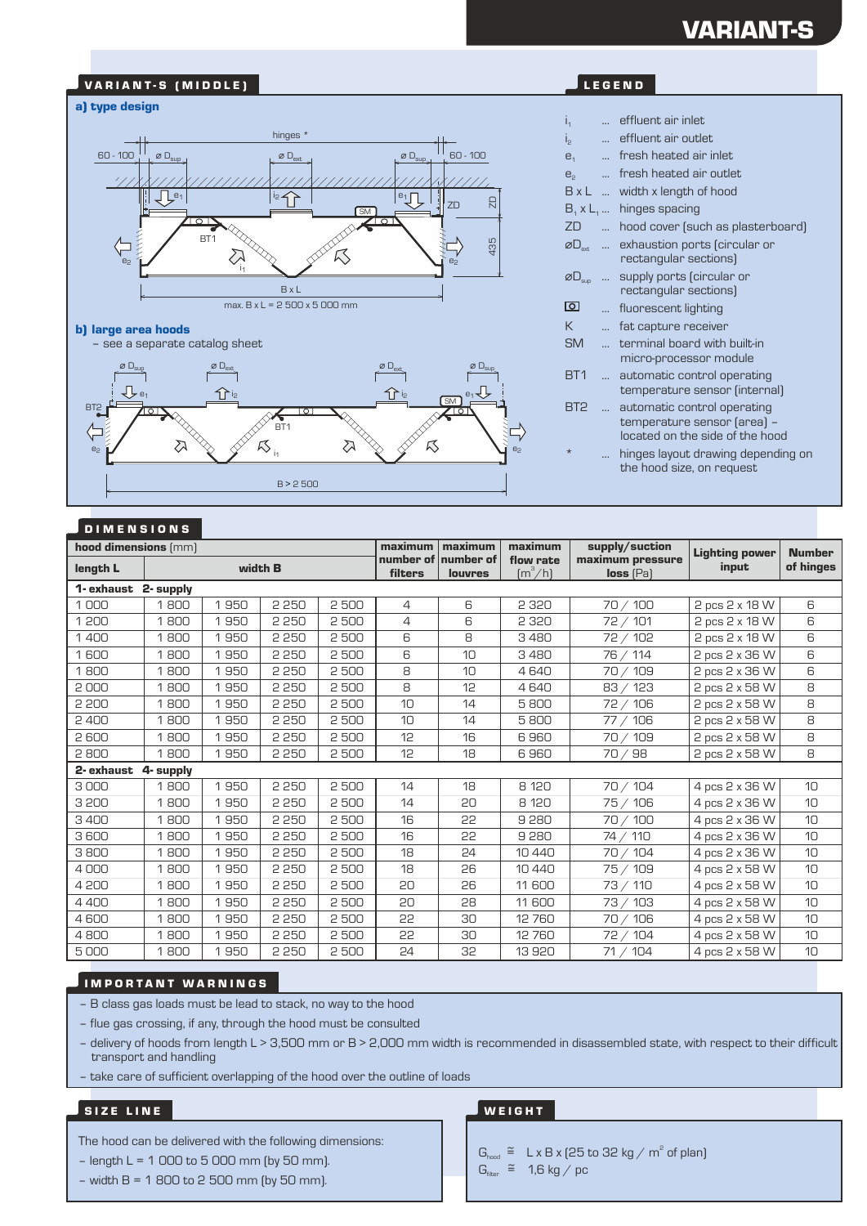# VARIANT-S

#### VARIANT-S (MIDDLE) **A N T A N T A N T A N T A N T A N T A N T A** LEGEND

#### a) type design



#### b) large area hoods

– see a separate catalog sheet g r  $\emptyset$  D<sub>ex</sub>  $\varnothing$  D<sub>ext</sub>  $\varnothing$  D<sub>sup</sub> Л e<sub>1</sub> i2 i2 i2 i2 i2 i2 i2 i2 i2 i $\mathbf{f}$  i2 e1 SM **BT** B<sub>T1</sub>  $\mathcal{R}_{\mathsf{in}}$  $\mathbb{Z}$  $\mathbb{Z}$  $R_{\rm s}$ e<sub>2</sub> B > 2 500

| I <sub>1</sub>                          |                | effluent air inlet                                                                            |
|-----------------------------------------|----------------|-----------------------------------------------------------------------------------------------|
| İ,                                      | $\ddotsc$      | effluent air outlet                                                                           |
| e <sub>1</sub>                          | $\ddotsc$      | fresh heated air inlet                                                                        |
| e <sub>2</sub>                          | $\sim$         | fresh heated air outlet                                                                       |
| $B \times L$                            |                | width x length of hood                                                                        |
| $B_1 \times L_1 \dots$                  |                | hinges spacing                                                                                |
| ZD                                      | $\mathbf{r}$   | hood cover (such as plasterboard)                                                             |
| ØD <sub>avt</sub>                       | $\cdots$       | exhaustion ports (circular or<br>rectangular sections)                                        |
| $\varnothing \mathsf{L}_{\mathsf{sup}}$ | $\ddotsc$      | supply ports (circular or<br>rectangular sections)                                            |
| ा                                       | $\ddotsc$      | fluorescent lighting                                                                          |
| К                                       | $\ddotsc$      | fat capture receiver                                                                          |
| <b>SM</b>                               | $\mathbb{R}^2$ | terminal board with built-in<br>micro-processor module                                        |
| BT <sub>1</sub>                         |                | automatic control operating<br>temperature sensor (internal)                                  |
| BT <sub>2</sub>                         | $\sim$         | automatic control operating<br>temperature sensor (area) -<br>located on the side of the hood |
| $\star$                                 |                | hinges layout drawing depending on<br>the hood size, on request                               |
|                                         |                |                                                                                               |

#### D I M E N S I O N S

| hood dimensions (mm) |      |      |         |      | maximum        | maximum                               | maximum                                   | supply/suction                  | <b>Lighting power</b> | <b>Number</b>   |
|----------------------|------|------|---------|------|----------------|---------------------------------------|-------------------------------------------|---------------------------------|-----------------------|-----------------|
| length L             |      |      | width B |      | filters        | number of number of<br><b>louvres</b> | flow rate<br>$\left[\frac{m^3}{h}\right]$ | maximum pressure<br>$loss$ (Pa) | input                 | of hinges       |
| 1- exhaust 2- supply |      |      |         |      |                |                                       |                                           |                                 |                       |                 |
| 1000                 | 1800 | 1950 | 2 2 5 0 | 2500 | $\overline{4}$ | 6                                     | 2 3 2 0                                   | 70 / 100                        | 2 pcs 2 x 18 W        | 6               |
| 1 200                | 1800 | 1950 | 2 2 5 0 | 2500 | $\overline{4}$ | 6                                     | 2 3 2 0                                   | 72 / 101                        | 2 pcs 2 x 18 W        | 6               |
| 1400                 | 1800 | 1950 | 2 2 5 0 | 2500 | 6              | 8                                     | 3480                                      | 72 / 102                        | 2 pcs 2 x 18 W        | 6               |
| 1600                 | 1800 | 1950 | 2 2 5 0 | 2500 | 6              | 10                                    | 3480                                      | 76 / 114                        | 2 pcs 2 x 36 W        | 6               |
| 1800                 | 1800 | 1950 | 2 2 5 0 | 2500 | 8              | 10                                    | 4640                                      | 70 / 109                        | 2 pcs 2 x 36 W        | 6               |
| 2000                 | 1800 | 1950 | 2 2 5 0 | 2500 | 8              | 12                                    | 4640                                      | 83 / 123                        | 2 pcs 2 x 58 W        | 8               |
| 2 200                | 1800 | 1950 | 2 2 5 0 | 2500 | 10             | 14                                    | 5800                                      | 72 / 106                        | 2 pcs 2 x 58 W        | 8               |
| 2400                 | 1800 | 1950 | 2 2 5 0 | 2500 | 10             | 14                                    | 5800                                      | 77 / 106                        | 2 pcs 2 x 58 W        | 8               |
| 2600                 | 1800 | 1950 | 2 2 5 0 | 2500 | 12             | 16                                    | 6960                                      | 70 / 109                        | 2 pcs 2 x 58 W        | 8               |
| 2800                 | 1800 | 1950 | 2 2 5 0 | 2500 | 12             | 18                                    | 6960                                      | 70/98                           | 2 pcs 2 x 58 W        | 8               |
| 2- exhaust 4- supply |      |      |         |      |                |                                       |                                           |                                 |                       |                 |
| 3000                 | 1800 | 1950 | 2 2 5 0 | 2500 | 14             | 18                                    | 8 120                                     | 70 / 104                        | 4 pcs 2 x 36 W        | 10              |
| 3 200                | 1800 | 1950 | 2 2 5 0 | 2500 | 14             | 20                                    | 8 1 2 0                                   | 75 / 106                        | 4 pcs 2 x 36 W        | 10              |
| 3400                 | 1800 | 1950 | 2 2 5 0 | 2500 | 16             | 55                                    | 9280                                      | 70 / 100                        | 4 pcs 2 x 36 W        | 10              |
| 3600                 | 1800 | 1950 | 2 2 5 0 | 2500 | 16             | 55                                    | 9280                                      | 74 / 110                        | 4 pcs 2 x 36 W        | 10              |
| 3800                 | 1800 | 1950 | 2 2 5 0 | 2500 | 18             | 24                                    | 10 440                                    | 70 / 104                        | 4 pcs 2 x 36 W        | 10              |
| 4000                 | 1800 | 1950 | 2 2 5 0 | 2500 | 18             | 26                                    | 10 440                                    | 75 / 109                        | 4 pcs 2 x 58 W        | 10              |
| 4 200                | 1800 | 1950 | 2 2 5 0 | 2500 | 20             | 26                                    | 11 600                                    | 73 / 110                        | 4 pcs 2 x 58 W        | 10              |
| 4400                 | 1800 | 1950 | 2 2 5 0 | 2500 | 20             | 28                                    | 11 600                                    | 73 / 103                        | 4 pcs 2 x 58 W        | 10              |
| 4600                 | 1800 | 1950 | 2 2 5 0 | 2500 | 55             | 30                                    | 12 760                                    | 70 / 106                        | 4 pcs 2 x 58 W        | 10 <sup>1</sup> |
| 4800                 | 1800 | 1950 | 2 2 5 0 | 2500 | 55             | 30                                    | 12 760                                    | 72 / 104                        | 4 pcs 2 x 58 W        | 10              |
| 5000                 | 1800 | 1950 | 2 2 5 0 | 2500 | 24             | 32                                    | 13920                                     | 71 / 104                        | 4 pcs 2 x 58 W        | 10              |

e2

#### **IMPORTANT WARNINGS**

– B class gas loads must be lead to stack, no way to the hood

– flue gas crossing, if any, through the hood must be consulted

– delivery of hoods from length L > 3,500 mm or B > 2,000 mm width is recommended in disassembled state, with respect to their difficult transport and handling

– take care of sufficient overlapping of the hood over the outline of loads

#### SIZE LINE

The hood can be delivered with the following dimensions:

- $-$  length L = 1 000 to 5 000 mm (by 50 mm).
- $-$  width B = 1 800 to 2 500 mm (by 50 mm).

#### **WEIGHT**

- $G_{\text{hood}} \cong L \times B \times (25 \text{ to } 32 \text{ kg} / \text{ m}^2 \text{ of plan})$  $G<sub>filter</sub> \cong 1,6$  kg / pc
	-